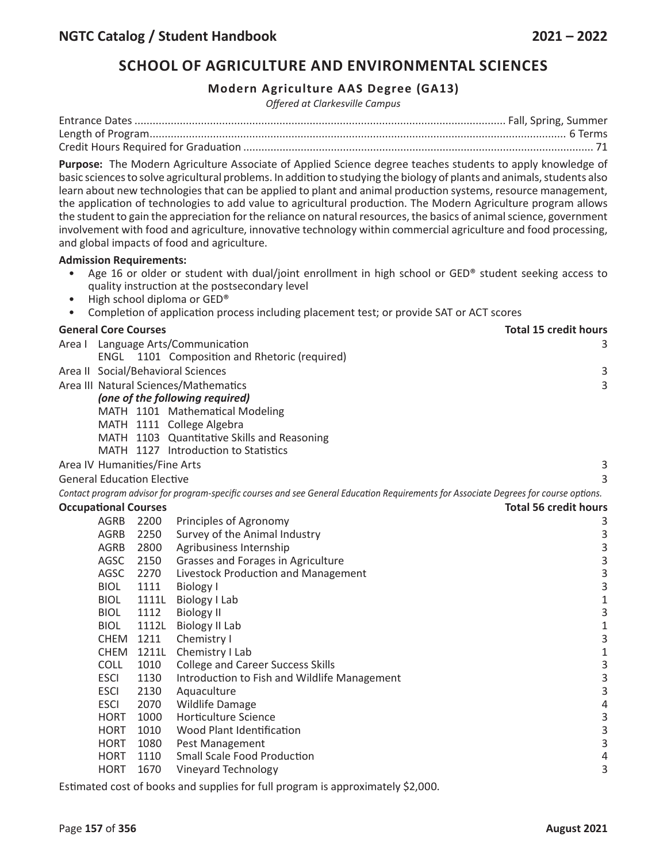# **SCHOOL OF AGRICULTURE AND ENVIRONMENTAL SCIENCES**

## **Modern Agriculture AAS Degree (GA13)**

*Offered at Clarkesville Campus*

**Purpose:** The Modern Agriculture Associate of Applied Science degree teaches students to apply knowledge of basic sciences to solve agricultural problems. In addition to studying the biology of plants and animals, students also learn about new technologies that can be applied to plant and animal production systems, resource management, the application of technologies to add value to agricultural production. The Modern Agriculture program allows the student to gain the appreciation for the reliance on natural resources, the basics of animal science, government involvement with food and agriculture, innovative technology within commercial agriculture and food processing, and global impacts of food and agriculture.

## **Admission Requirements:**

- Age 16 or older or student with dual/joint enrollment in high school or GED® student seeking access to quality instruction at the postsecondary level
- High school diploma or GED®
- Completion of application process including placement test; or provide SAT or ACT scores

| <b>General Core Courses</b>       |                            |              |                                                                                                                                       | <b>Total 15 credit hours</b>               |
|-----------------------------------|----------------------------|--------------|---------------------------------------------------------------------------------------------------------------------------------------|--------------------------------------------|
|                                   |                            |              | Area I Language Arts/Communication                                                                                                    | 3                                          |
|                                   | ENGL                       |              | 1101 Composition and Rhetoric (required)                                                                                              |                                            |
|                                   |                            |              | Area II Social/Behavioral Sciences                                                                                                    | 3                                          |
|                                   |                            |              | Area III Natural Sciences/Mathematics                                                                                                 | 3                                          |
|                                   |                            |              | (one of the following required)                                                                                                       |                                            |
|                                   |                            |              | MATH 1101 Mathematical Modeling                                                                                                       |                                            |
|                                   |                            |              | MATH 1111 College Algebra                                                                                                             |                                            |
|                                   |                            |              | MATH 1103 Quantitative Skills and Reasoning                                                                                           |                                            |
|                                   |                            |              | MATH 1127 Introduction to Statistics                                                                                                  |                                            |
| Area IV Humanities/Fine Arts      |                            |              |                                                                                                                                       | 3                                          |
| <b>General Education Elective</b> |                            |              |                                                                                                                                       | 3                                          |
|                                   |                            |              | Contact program advisor for program-specific courses and see General Education Requirements for Associate Degrees for course options. |                                            |
| <b>Occupational Courses</b>       |                            |              |                                                                                                                                       | <b>Total 56 credit hours</b>               |
|                                   | <b>AGRB</b>                | 2200         | Principles of Agronomy                                                                                                                | 3                                          |
|                                   | <b>AGRB</b>                | 2250         | Survey of the Animal Industry                                                                                                         | 3                                          |
|                                   | <b>AGRB</b>                | 2800         | Agribusiness Internship                                                                                                               | 3                                          |
|                                   | AGSC                       | 2150         | Grasses and Forages in Agriculture                                                                                                    | 3                                          |
|                                   | AGSC                       | 2270         | Livestock Production and Management                                                                                                   | 3                                          |
|                                   | <b>BIOL</b>                | 1111         | <b>Biology I</b>                                                                                                                      | 3                                          |
|                                   | <b>BIOL</b>                | 1111L        | Biology I Lab                                                                                                                         | $\mathbf{1}$                               |
|                                   | <b>BIOL</b>                | 1112         | <b>Biology II</b>                                                                                                                     | $\overline{\mathbf{3}}$                    |
|                                   | <b>BIOL</b>                | 1112L        | <b>Biology II Lab</b>                                                                                                                 | $\mathbf{1}$                               |
|                                   | <b>CHEM</b>                | 1211         | Chemistry I                                                                                                                           | 3                                          |
|                                   | <b>CHEM</b>                | 1211L        | Chemistry I Lab                                                                                                                       | $\mathbf 1$                                |
|                                   | <b>COLL</b>                | 1010         | <b>College and Career Success Skills</b>                                                                                              | 3                                          |
|                                   | <b>ESCI</b>                | 1130         | Introduction to Fish and Wildlife Management                                                                                          | 3                                          |
|                                   | <b>ESCI</b>                | 2130         | Aquaculture                                                                                                                           | 3                                          |
|                                   | <b>ESCI</b>                | 2070         | <b>Wildlife Damage</b>                                                                                                                | $\overline{\mathcal{L}}$                   |
|                                   | <b>HORT</b>                | 1000         | Horticulture Science                                                                                                                  |                                            |
|                                   | <b>HORT</b>                | 1010         | Wood Plant Identification                                                                                                             | $\begin{array}{c} 3 \\ 3 \\ 3 \end{array}$ |
|                                   | <b>HORT</b>                | 1080         | Pest Management                                                                                                                       |                                            |
|                                   | <b>HORT</b><br><b>HORT</b> | 1110<br>1670 | <b>Small Scale Food Production</b>                                                                                                    | 4<br>3                                     |
|                                   |                            |              | Vineyard Technology                                                                                                                   |                                            |

Estimated cost of books and supplies for full program is approximately \$2,000.